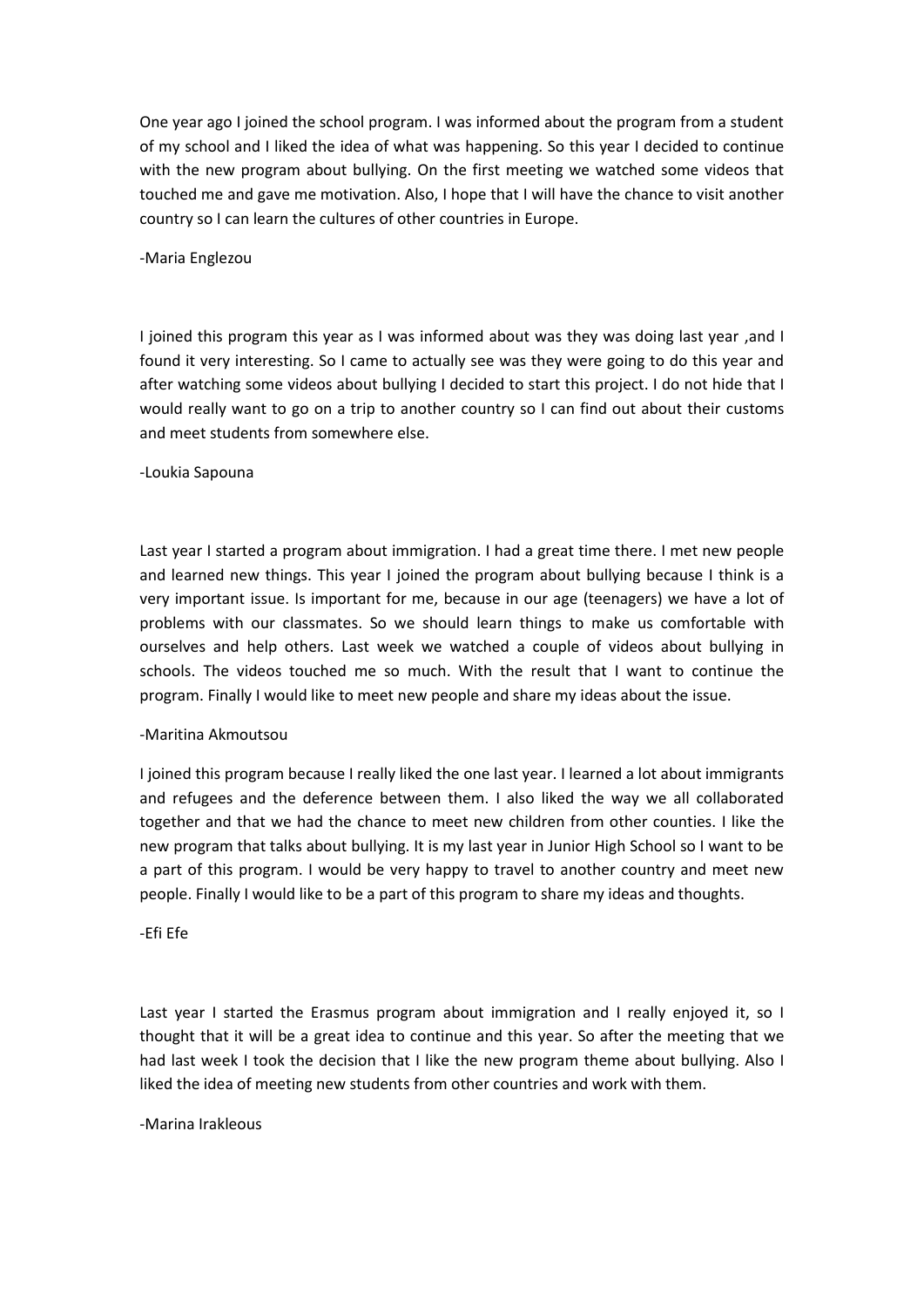One year ago I joined the school program. I was informed about the program from a student of my school and I liked the idea of what was happening. So this year I decided to continue with the new program about bullying. On the first meeting we watched some videos that touched me and gave me motivation. Also, I hope that I will have the chance to visit another country so I can learn the cultures of other countries in Europe.

# -Maria Englezou

I joined this program this year as I was informed about was they was doing last year ,and I found it very interesting. So I came to actually see was they were going to do this year and after watching some videos about bullying I decided to start this project. I do not hide that I would really want to go on a trip to another country so I can find out about their customs and meet students from somewhere else.

# -Loukia Sapouna

Last year I started a program about immigration. I had a great time there. I met new people and learned new things. This year I joined the program about bullying because I think is a very important issue. Is important for me, because in our age (teenagers) we have a lot of problems with our classmates. So we should learn things to make us comfortable with ourselves and help others. Last week we watched a couple of videos about bullying in schools. The videos touched me so much. With the result that I want to continue the program. Finally I would like to meet new people and share my ideas about the issue.

# -Maritina Akmoutsou

I joined this program because I really liked the one last year. I learned a lot about immigrants and refugees and the deference between them. I also liked the way we all collaborated together and that we had the chance to meet new children from other counties. I like the new program that talks about bullying. It is my last year in Junior High School so I want to be a part of this program. I would be very happy to travel to another country and meet new people. Finally I would like to be a part of this program to share my ideas and thoughts.

# -Efi Efe

Last year I started the Erasmus program about immigration and I really enjoyed it, so I thought that it will be a great idea to continue and this year. So after the meeting that we had last week I took the decision that I like the new program theme about bullying. Also I liked the idea of meeting new students from other countries and work with them.

# -Marina Irakleous